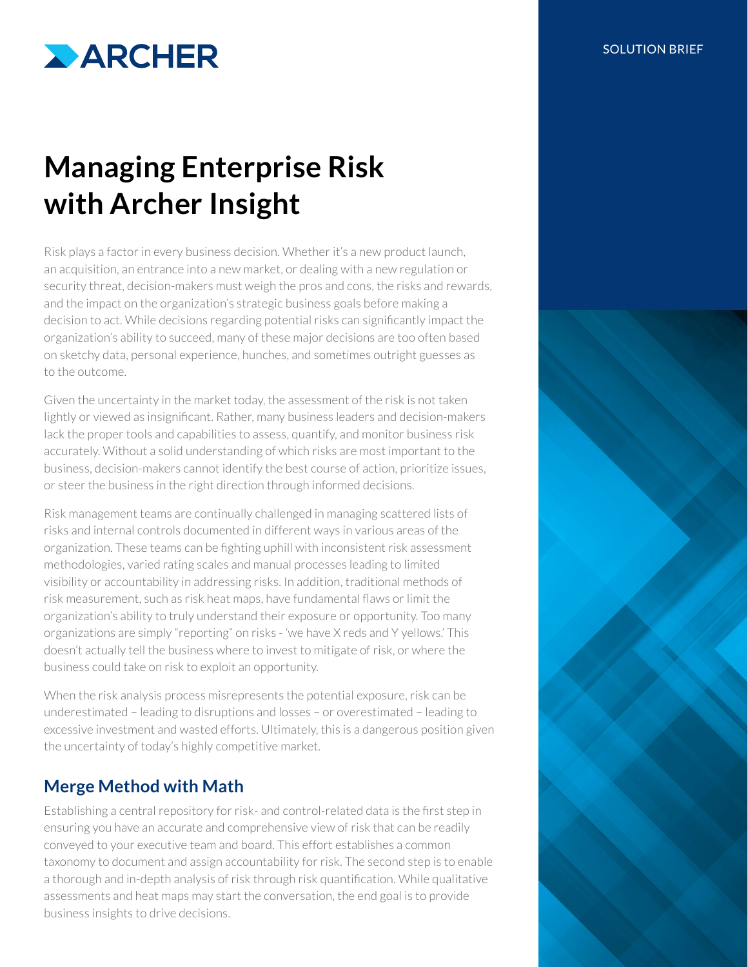

# **Managing Enterprise Risk with Archer Insight**

Risk plays a factor in every business decision. Whether it's a new product launch, an acquisition, an entrance into a new market, or dealing with a new regulation or security threat, decision-makers must weigh the pros and cons, the risks and rewards, and the impact on the organization's strategic business goals before making a decision to act. While decisions regarding potential risks can significantly impact the organization's ability to succeed, many of these major decisions are too often based on sketchy data, personal experience, hunches, and sometimes outright guesses as to the outcome.

Given the uncertainty in the market today, the assessment of the risk is not taken lightly or viewed as insignificant. Rather, many business leaders and decision-makers lack the proper tools and capabilities to assess, quantify, and monitor business risk accurately. Without a solid understanding of which risks are most important to the business, decision-makers cannot identify the best course of action, prioritize issues, or steer the business in the right direction through informed decisions.

Risk management teams are continually challenged in managing scattered lists of risks and internal controls documented in different ways in various areas of the organization. These teams can be fighting uphill with inconsistent risk assessment methodologies, varied rating scales and manual processes leading to limited visibility or accountability in addressing risks. In addition, traditional methods of risk measurement, such as risk heat maps, have fundamental flaws or limit the organization's ability to truly understand their exposure or opportunity. Too many organizations are simply "reporting" on risks - 'we have X reds and Y yellows.' This doesn't actually tell the business where to invest to mitigate of risk, or where the business could take on risk to exploit an opportunity.

When the risk analysis process misrepresents the potential exposure, risk can be underestimated – leading to disruptions and losses – or overestimated – leading to excessive investment and wasted efforts. Ultimately, this is a dangerous position given the uncertainty of today's highly competitive market.

## **Merge Method with Math**

Establishing a central repository for risk- and control-related data is the first step in ensuring you have an accurate and comprehensive view of risk that can be readily conveyed to your executive team and board. This effort establishes a common taxonomy to document and assign accountability for risk. The second step is to enable a thorough and in-depth analysis of risk through risk quantification. While qualitative assessments and heat maps may start the conversation, the end goal is to provide business insights to drive decisions.

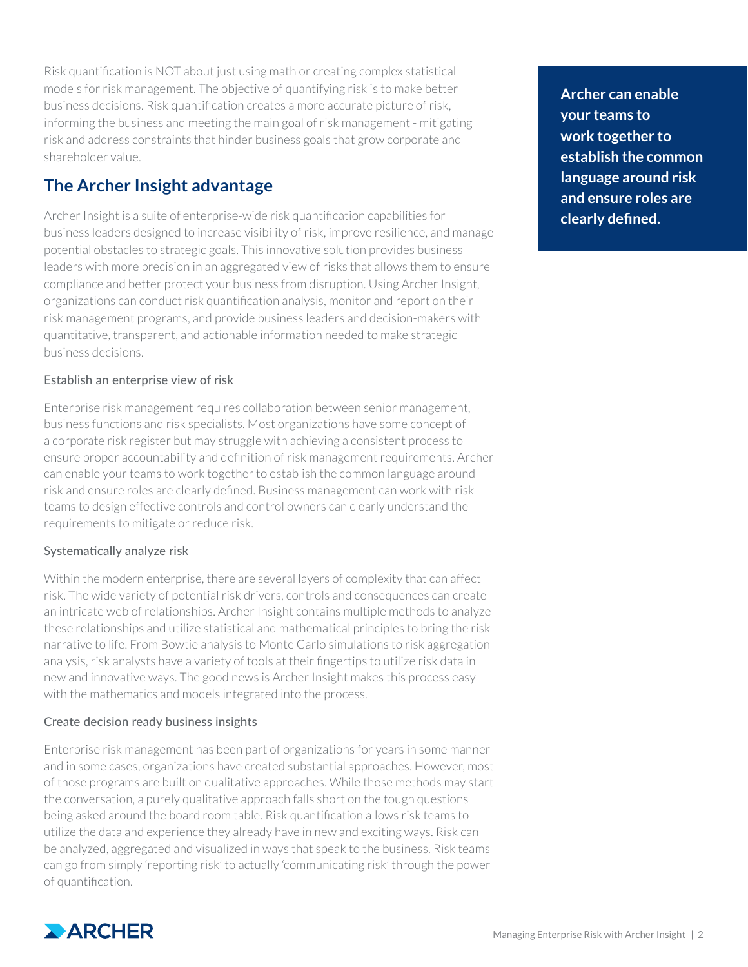Risk quantification is NOT about just using math or creating complex statistical models for risk management. The objective of quantifying risk is to make better business decisions. Risk quantification creates a more accurate picture of risk, informing the business and meeting the main goal of risk management - mitigating risk and address constraints that hinder business goals that grow corporate and shareholder value.

## **The Archer Insight advantage**

Archer Insight is a suite of enterprise-wide risk quantification capabilities for business leaders designed to increase visibility of risk, improve resilience, and manage potential obstacles to strategic goals. This innovative solution provides business leaders with more precision in an aggregated view of risks that allows them to ensure compliance and better protect your business from disruption. Using Archer Insight, organizations can conduct risk quantification analysis, monitor and report on their risk management programs, and provide business leaders and decision-makers with quantitative, transparent, and actionable information needed to make strategic business decisions.

#### Establish an enterprise view of risk

Enterprise risk management requires collaboration between senior management, business functions and risk specialists. Most organizations have some concept of a corporate risk register but may struggle with achieving a consistent process to ensure proper accountability and definition of risk management requirements. Archer can enable your teams to work together to establish the common language around risk and ensure roles are clearly defined. Business management can work with risk teams to design effective controls and control owners can clearly understand the requirements to mitigate or reduce risk.

### Systematically analyze risk

Within the modern enterprise, there are several layers of complexity that can affect risk. The wide variety of potential risk drivers, controls and consequences can create an intricate web of relationships. Archer Insight contains multiple methods to analyze these relationships and utilize statistical and mathematical principles to bring the risk narrative to life. From Bowtie analysis to Monte Carlo simulations to risk aggregation analysis, risk analysts have a variety of tools at their fingertips to utilize risk data in new and innovative ways. The good news is Archer Insight makes this process easy with the mathematics and models integrated into the process.

### Create decision ready business insights

Enterprise risk management has been part of organizations for years in some manner and in some cases, organizations have created substantial approaches. However, most of those programs are built on qualitative approaches. While those methods may start the conversation, a purely qualitative approach falls short on the tough questions being asked around the board room table. Risk quantification allows risk teams to utilize the data and experience they already have in new and exciting ways. Risk can be analyzed, aggregated and visualized in ways that speak to the business. Risk teams can go from simply 'reporting risk' to actually 'communicating risk' through the power of quantification.



**Archer can enable your teams to work together to establish the common language around risk and ensure roles are clearly defined.**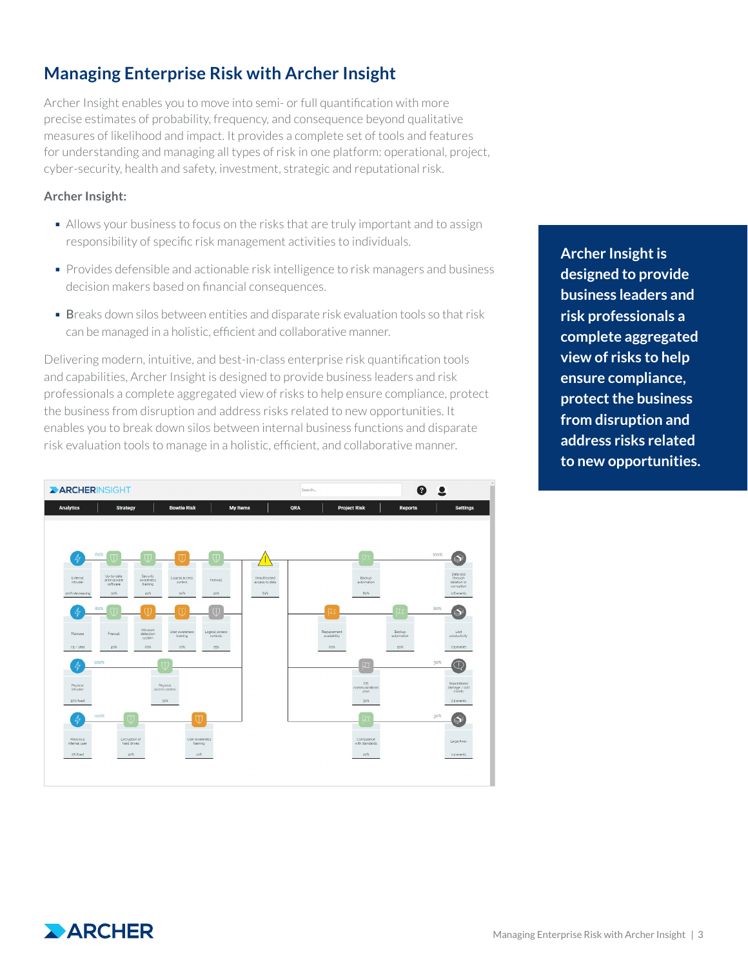## **Managing Enterprise Risk with Archer Insight**

Archer Insight enables you to move into semi- or full quantification with more precise estimates of probability, frequency, and consequence beyond qualitative measures of likelihood and impact. It provides a complete set of tools and features for understanding and managing all types of risk in one platform: operational, project, cyber-security, health and safety, investment, strategic and reputational risk.

#### **Archer Insight:**

- Allows your business to focus on the risks that are truly important and to assign responsibility of specific risk management activities to individuals.
- § Provides defensible and actionable risk intelligence to risk managers and business decision makers based on financial consequences.
- **Breaks down silos between entities and disparate risk evaluation tools so that risk** can be managed in a holistic, efficient and collaborative manner.

Delivering modern, intuitive, and best-in-class enterprise risk quantification tools and capabilities, Archer Insight is designed to provide business leaders and risk professionals a complete aggregated view of risks to help ensure compliance, protect the business from disruption and address risks related to new opportunities. It enables you to break down silos between internal business functions and disparate risk evaluation tools to manage in a holistic, efficient, and collaborative manner.



**Archer Insight is designed to provide business leaders and risk professionals a complete aggregated view of risks to help ensure compliance, protect the business from disruption and address risks related to new opportunities.**